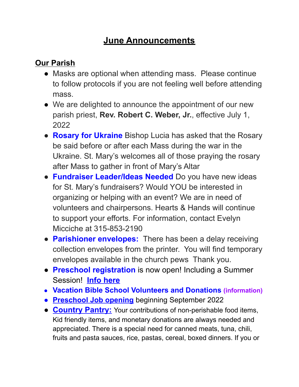## **June Announcements**

## **Our Parish**

- Masks are optional when attending mass. Please continue to follow protocols if you are not feeling well before attending mass.
- We are delighted to announce the appointment of our new parish priest, **Rev. Robert C. Weber, Jr.**, effective July 1, 2022
- **Rosary for Ukraine** Bishop Lucia has asked that the Rosary be said before or after each Mass during the war in the Ukraine. St. Mary's welcomes all of those praying the rosary after Mass to gather in front of Mary's Altar
- **Fundraiser Leader/Ideas Needed** Do you have new ideas for St. Mary's fundraisers? Would YOU be interested in organizing or helping with an event? We are in need of volunteers and chairpersons. Hearts & Hands will continue to support your efforts. For information, contact Evelyn Micciche at 315-853-2190
- **Parishioner envelopes:** There has been a delay receiving collection envelopes from the printer. You will find temporary envelopes available in the church pews Thank you.
- **Preschool registration** is now open! Including a Summer Session! **Info [here](https://www.stmarysclintonpreschool.org/)**
- **● Vacation Bible School Volunteers and Donations [\(information\)](https://docs.google.com/document/u/1/d/1pHAcAa2pxi4PdvSyoLXqhZTnD4H_eE-OTlxIyolOFRc/edit)**
- **● [Preschool Job opening](https://docs.google.com/document/u/1/d/1Go_yoTekninVINDUeaAUcp93jC62nEQDXIpD7N8aqB4/edit)** beginning September 2022
- **[Country](https://www.thecountrypantry.org/) Pantry:** Your contributions of non-perishable food items, Kid friendly items, and monetary donations are always needed and appreciated. There is a special need for canned meats, tuna, chili, fruits and pasta sauces, rice, pastas, cereal, boxed dinners. If you or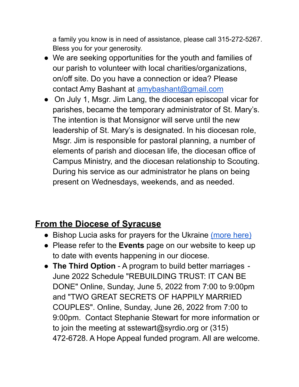a family you know is in need of assistance, please call 315-272-5267. Bless you for your generosity.

- We are seeking opportunities for the youth and families of our parish to volunteer with local charities/organizations, on/off site. Do you have a connection or idea? Please contact Amy Bashant at [amybashant@gmail.com](mailto:amybashant@gmail.com)
- **●** On July 1, Msgr. Jim Lang, the diocesan episcopal vicar for parishes, became the temporary administrator of St. Mary's. The intention is that Monsignor will serve until the new leadership of St. Mary's is designated. In his diocesan role, Msgr. Jim is responsible for pastoral planning, a number of elements of parish and diocesan life, the diocesan office of Campus Ministry, and the diocesan relationship to Scouting. During his service as our administrator he plans on being present on Wednesdays, weekends, and as needed.

## **From the Diocese of Syracuse**

- Bishop Lucia asks for prayers for the Ukraine [\(more](https://wxhc.com/bishop-ask-for-prayers-for-ukraine/) here)
- Please refer to the **Events** page on our website to keep up to date with events happening in our diocese.
- **The Third Option** A program to build better marriages June 2022 Schedule "REBUILDING TRUST: IT CAN BE DONE" Online, Sunday, June 5, 2022 from 7:00 to 9:00pm and "TWO GREAT SECRETS OF HAPPILY MARRIED COUPLES". Online, Sunday, June 26, 2022 from 7:00 to 9:00pm. Contact Stephanie Stewart for more information or to join the meeting at sstewart@syrdio.org or (315) 472-6728. A Hope Appeal funded program. All are welcome.